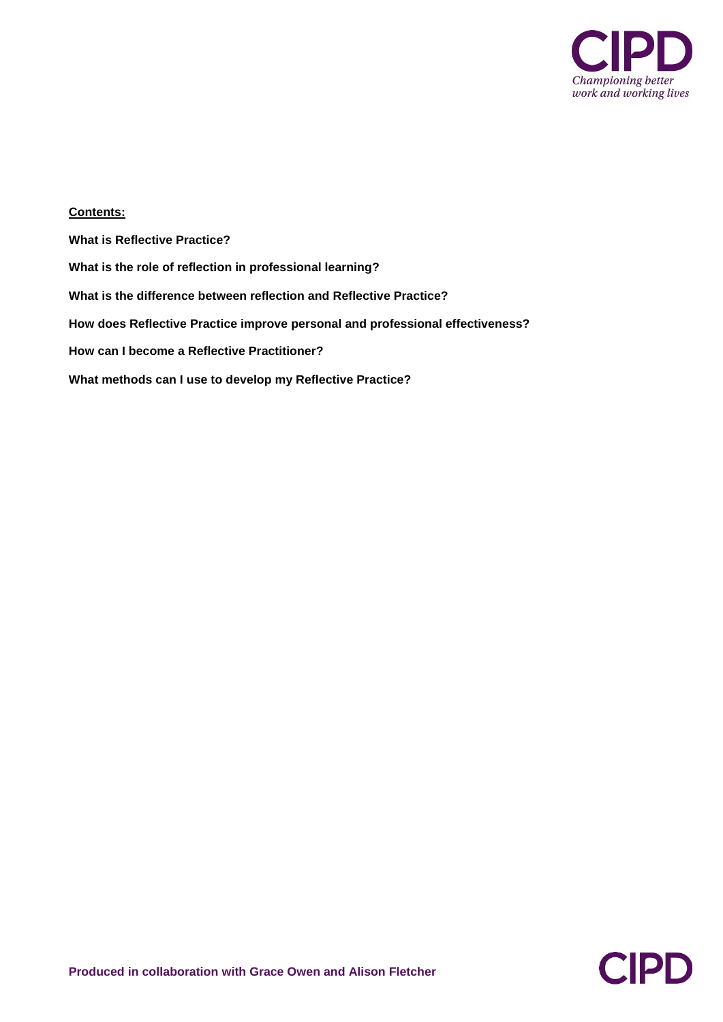

# **Contents:**

**What is Reflective Practice? What is the role of reflection in professional learning? What is the difference between reflection and Reflective Practice? How does Reflective Practice improve personal and professional effectiveness? How can I become a Reflective Practitioner? What methods can I use to develop my Reflective Practice?**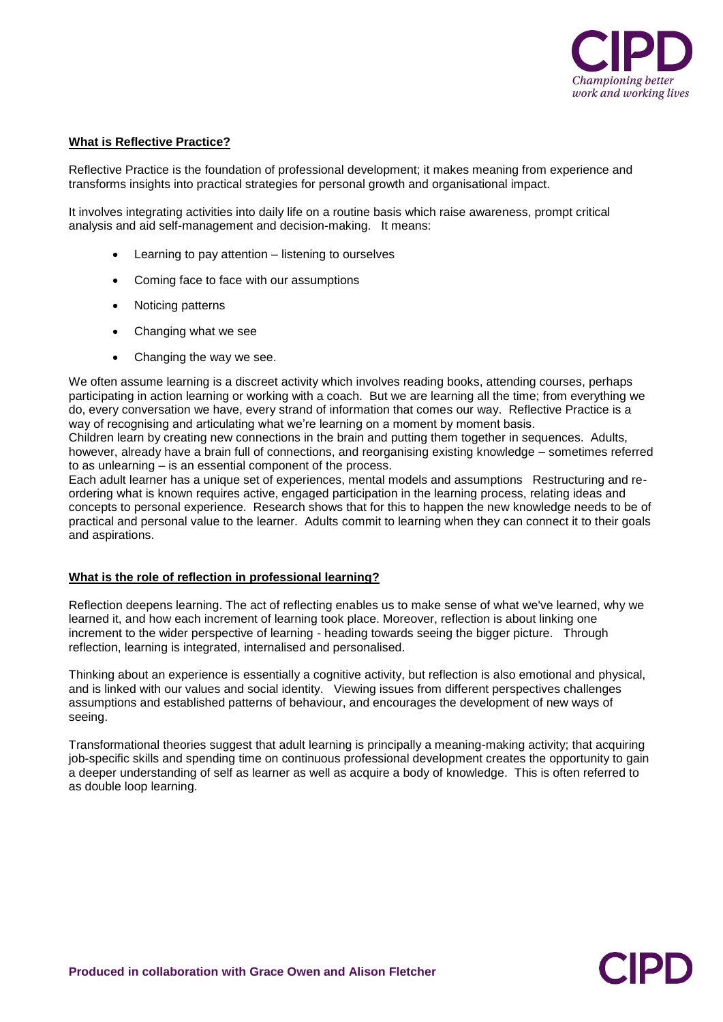

CIPI

## **What is Reflective Practice?**

Reflective Practice is the foundation of professional development; it makes meaning from experience and transforms insights into practical strategies for personal growth and organisational impact.

It involves integrating activities into daily life on a routine basis which raise awareness, prompt critical analysis and aid self-management and decision-making. It means:

- Learning to pay attention listening to ourselves
- Coming face to face with our assumptions
- Noticing patterns
- Changing what we see
- Changing the way we see.

We often assume learning is a discreet activity which involves reading books, attending courses, perhaps participating in action learning or working with a coach. But we are learning all the time; from everything we do, every conversation we have, every strand of information that comes our way. Reflective Practice is a way of recognising and articulating what we're learning on a moment by moment basis.

Children learn by creating new connections in the brain and putting them together in sequences. Adults, however, already have a brain full of connections, and reorganising existing knowledge – sometimes referred to as unlearning – is an essential component of the process.

Each adult learner has a unique set of experiences, mental models and assumptions Restructuring and reordering what is known requires active, engaged participation in the learning process, relating ideas and concepts to personal experience. Research shows that for this to happen the new knowledge needs to be of practical and personal value to the learner. Adults commit to learning when they can connect it to their goals and aspirations.

# **What is the role of reflection in professional learning?**

Reflection deepens learning. The act of reflecting enables us to make sense of what we've learned, why we learned it, and how each increment of learning took place. Moreover, reflection is about linking one increment to the wider perspective of learning - heading towards seeing the bigger picture. Through reflection, learning is integrated, internalised and personalised.

Thinking about an experience is essentially a cognitive activity, but reflection is also emotional and physical, and is linked with our values and social identity. Viewing issues from different perspectives challenges assumptions and established patterns of behaviour, and encourages the development of new ways of seeing.

Transformational theories suggest that adult learning is principally a meaning-making activity; that acquiring job-specific skills and spending time on continuous professional development creates the opportunity to gain a deeper understanding of self as learner as well as acquire a body of knowledge. This is often referred to as double loop learning.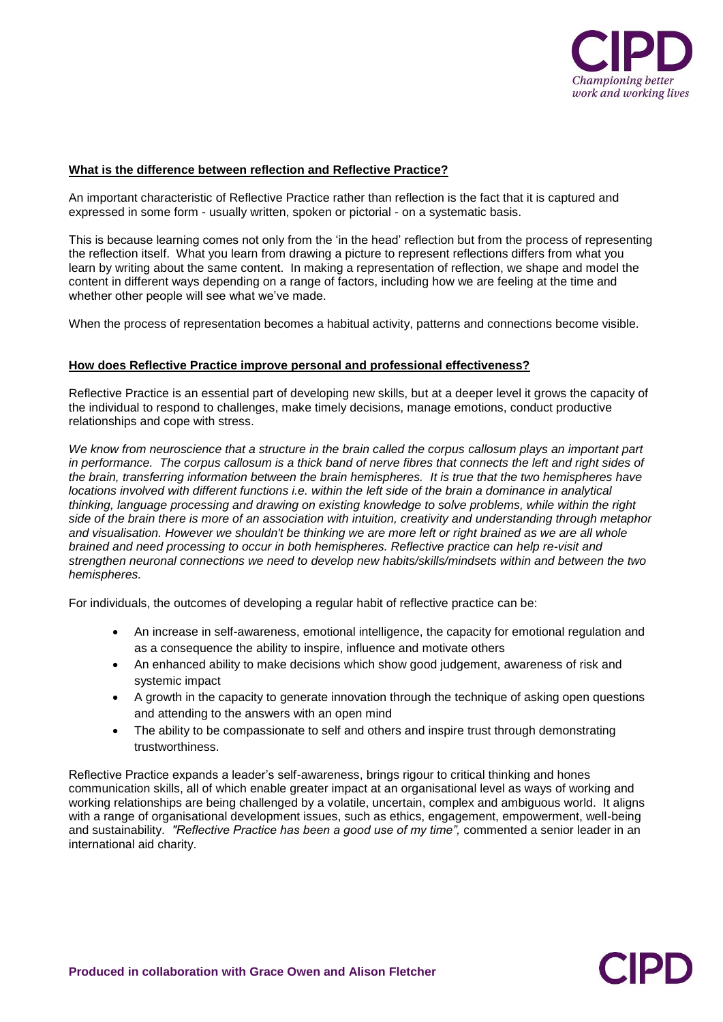

**CIPI** 

# **What is the difference between reflection and Reflective Practice?**

An important characteristic of Reflective Practice rather than reflection is the fact that it is captured and expressed in some form - usually written, spoken or pictorial - on a systematic basis.

This is because learning comes not only from the 'in the head' reflection but from the process of representing the reflection itself. What you learn from drawing a picture to represent reflections differs from what you learn by writing about the same content. In making a representation of reflection, we shape and model the content in different ways depending on a range of factors, including how we are feeling at the time and whether other people will see what we've made.

When the process of representation becomes a habitual activity, patterns and connections become visible.

# **How does Reflective Practice improve personal and professional effectiveness?**

Reflective Practice is an essential part of developing new skills, but at a deeper level it grows the capacity of the individual to respond to challenges, make timely decisions, manage emotions, conduct productive relationships and cope with stress.

*We know from neuroscience that a structure in the brain called the corpus callosum plays an important part in performance. The corpus callosum is a thick band of nerve fibres that connects the left and right sides of the brain, transferring information between the brain hemispheres. It is true that the two hemispheres have locations involved with different functions i.e. within the left side of the brain a dominance in analytical thinking, language processing and drawing on existing knowledge to solve problems, while within the right side of the brain there is more of an association with intuition, creativity and understanding through metaphor and visualisation. However we shouldn't be thinking we are more left or right brained as we are all whole brained and need processing to occur in both hemispheres. Reflective practice can help re-visit and strengthen neuronal connections we need to develop new habits/skills/mindsets within and between the two hemispheres.*

For individuals, the outcomes of developing a regular habit of reflective practice can be:

- An increase in self-awareness, emotional intelligence, the capacity for emotional regulation and as a consequence the ability to inspire, influence and motivate others
- An enhanced ability to make decisions which show good judgement, awareness of risk and systemic impact
- A growth in the capacity to generate innovation through the technique of asking open questions and attending to the answers with an open mind
- The ability to be compassionate to self and others and inspire trust through demonstrating trustworthiness.

Reflective Practice expands a leader's self-awareness, brings rigour to critical thinking and hones communication skills, all of which enable greater impact at an organisational level as ways of working and working relationships are being challenged by a volatile, uncertain, complex and ambiguous world. It aligns with a range of organisational development issues, such as ethics, engagement, empowerment, well-being and sustainability. *"Reflective Practice has been a good use of my time",* commented a senior leader in an international aid charity.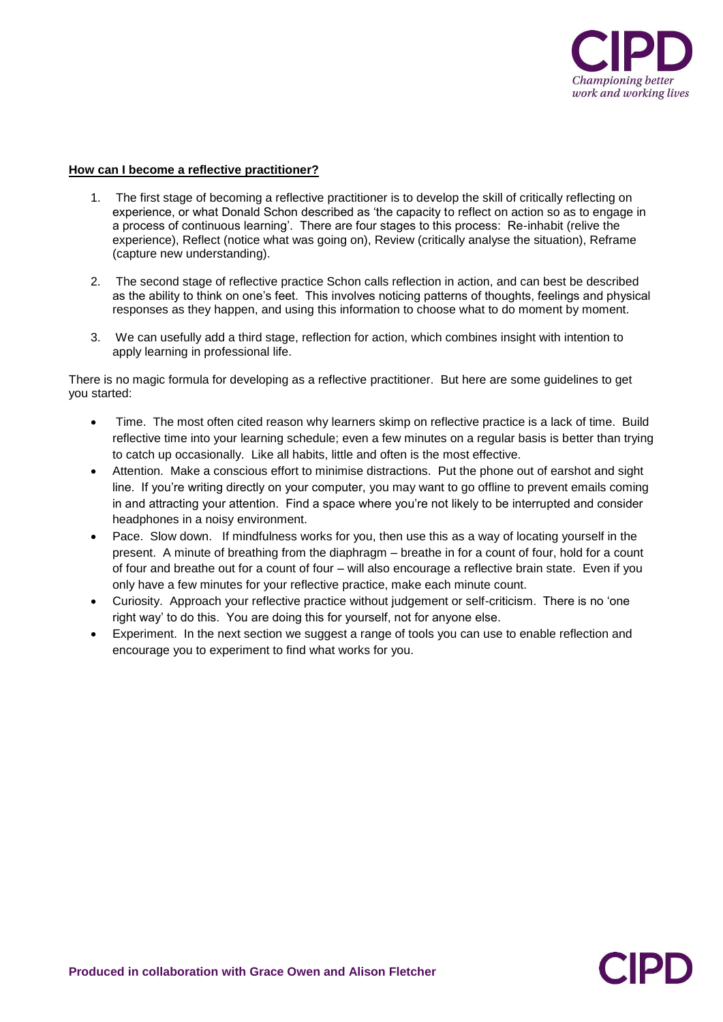

# **How can I become a reflective practitioner?**

- 1. The first stage of becoming a reflective practitioner is to develop the skill of critically reflecting on experience, or what Donald Schon described as 'the capacity to reflect on action so as to engage in a process of continuous learning'. There are four stages to this process: Re-inhabit (relive the experience), Reflect (notice what was going on), Review (critically analyse the situation), Reframe (capture new understanding).
- 2. The second stage of reflective practice Schon calls reflection in action, and can best be described as the ability to think on one's feet. This involves noticing patterns of thoughts, feelings and physical responses as they happen, and using this information to choose what to do moment by moment.
- 3. We can usefully add a third stage, reflection for action, which combines insight with intention to apply learning in professional life.

There is no magic formula for developing as a reflective practitioner. But here are some guidelines to get you started:

- Time. The most often cited reason why learners skimp on reflective practice is a lack of time. Build reflective time into your learning schedule; even a few minutes on a regular basis is better than trying to catch up occasionally. Like all habits, little and often is the most effective.
- Attention. Make a conscious effort to minimise distractions. Put the phone out of earshot and sight line. If you're writing directly on your computer, you may want to go offline to prevent emails coming in and attracting your attention. Find a space where you're not likely to be interrupted and consider headphones in a noisy environment.
- Pace. Slow down. If mindfulness works for you, then use this as a way of locating yourself in the present. A minute of breathing from the diaphragm – breathe in for a count of four, hold for a count of four and breathe out for a count of four – will also encourage a reflective brain state. Even if you only have a few minutes for your reflective practice, make each minute count.
- Curiosity. Approach your reflective practice without judgement or self-criticism. There is no 'one right way' to do this. You are doing this for yourself, not for anyone else.
- Experiment. In the next section we suggest a range of tools you can use to enable reflection and encourage you to experiment to find what works for you.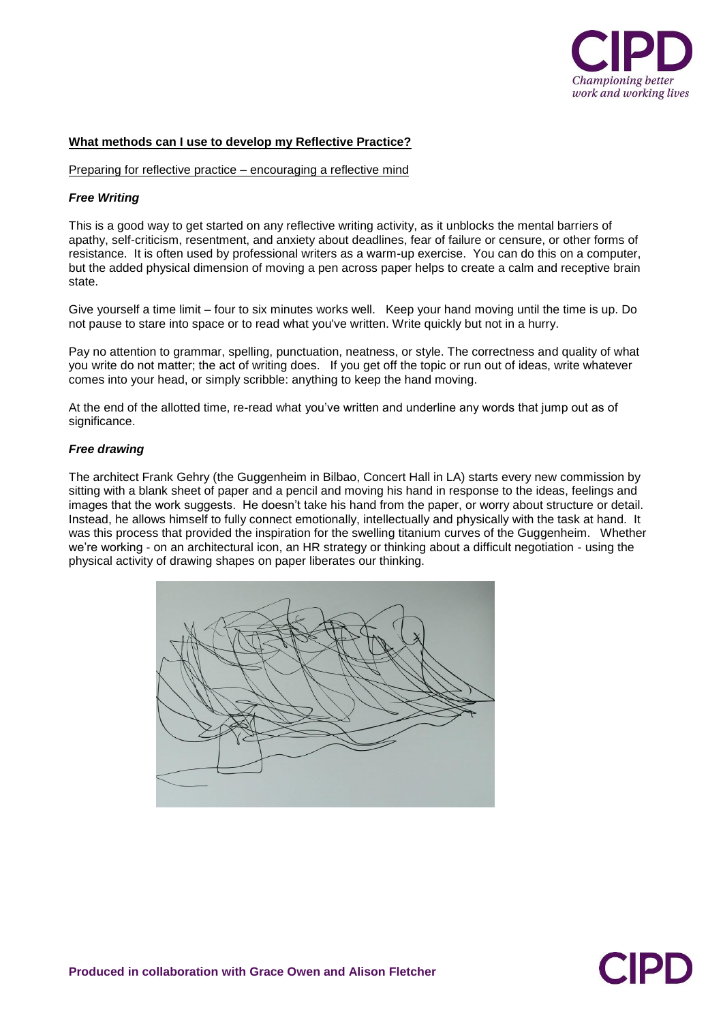

#### **What methods can I use to develop my Reflective Practice?**

Preparing for reflective practice – encouraging a reflective mind

#### *Free Writing*

This is a good way to get started on any reflective writing activity, as it unblocks the mental barriers of apathy, self-criticism, resentment, and anxiety about deadlines, fear of failure or censure, or other forms of resistance. It is often used by professional writers as a warm-up exercise. You can do this on a computer, but the added physical dimension of moving a pen across paper helps to create a calm and receptive brain state.

Give yourself a time limit – four to six minutes works well. Keep your hand moving until the time is up. Do not pause to stare into space or to read what you've written. Write quickly but not in a hurry.

Pay no attention to grammar, spelling, punctuation, neatness, or style. The correctness and quality of what you write do not matter; the act of writing does. If you get off the topic or run out of ideas, write whatever comes into your head, or simply scribble: anything to keep the hand moving.

At the end of the allotted time, re-read what you've written and underline any words that jump out as of significance.

#### *Free drawing*

The architect Frank Gehry (the Guggenheim in Bilbao, Concert Hall in LA) starts every new commission by sitting with a blank sheet of paper and a pencil and moving his hand in response to the ideas, feelings and images that the work suggests. He doesn't take his hand from the paper, or worry about structure or detail. Instead, he allows himself to fully connect emotionally, intellectually and physically with the task at hand. It was this process that provided the inspiration for the swelling titanium curves of the Guggenheim. Whether we're working - on an architectural icon, an HR strategy or thinking about a difficult negotiation - using the physical activity of drawing shapes on paper liberates our thinking.



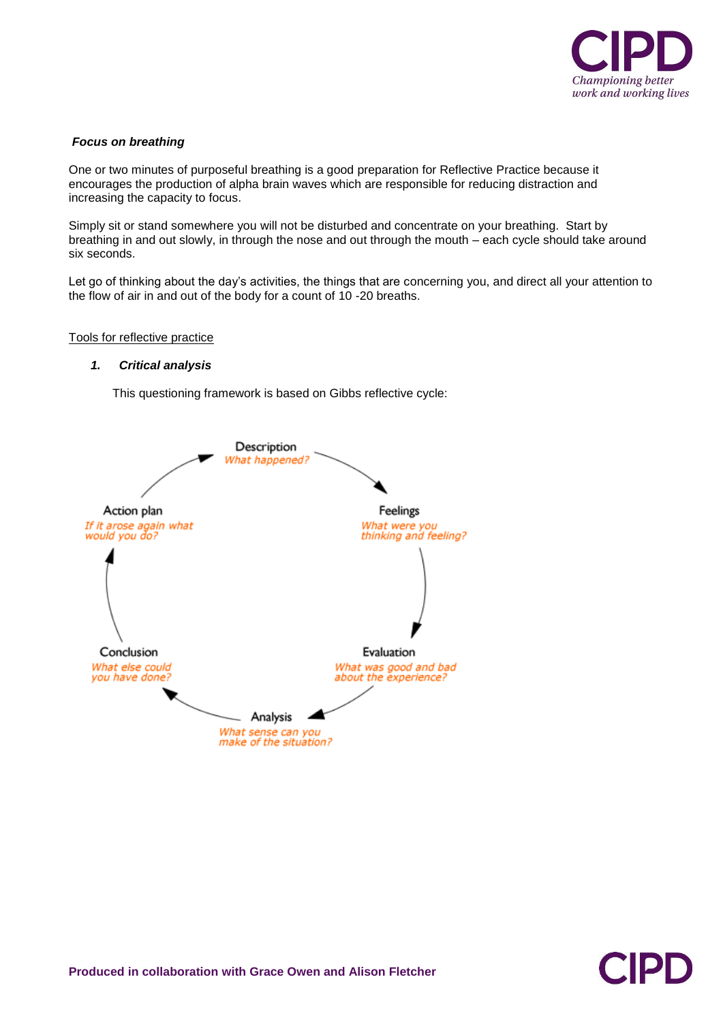

# *Focus on breathing*

One or two minutes of purposeful breathing is a good preparation for Reflective Practice because it encourages the production of alpha brain waves which are responsible for reducing distraction and increasing the capacity to focus.

Simply sit or stand somewhere you will not be disturbed and concentrate on your breathing. Start by breathing in and out slowly, in through the nose and out through the mouth – each cycle should take around six seconds.

Let go of thinking about the day's activities, the things that are concerning you, and direct all your attention to the flow of air in and out of the body for a count of 10 -20 breaths.

Tools for reflective practice

## *1. Critical analysis*

This questioning framework is based on Gibbs reflective cycle:



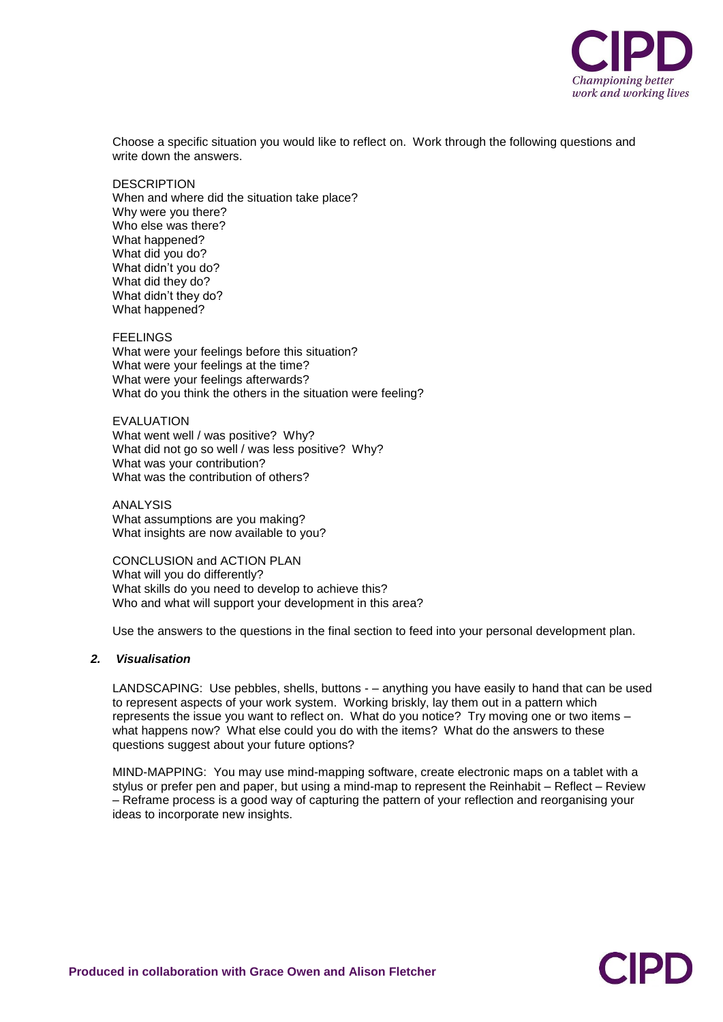

Choose a specific situation you would like to reflect on. Work through the following questions and write down the answers.

**DESCRIPTION** When and where did the situation take place? Why were you there? Who else was there? What happened? What did you do? What didn't you do? What did they do? What didn't they do? What happened?

FEELINGS What were your feelings before this situation? What were your feelings at the time? What were your feelings afterwards? What do you think the others in the situation were feeling?

EVALUATION What went well / was positive? Why? What did not go so well / was less positive? Why? What was your contribution? What was the contribution of others?

ANALYSIS What assumptions are you making? What insights are now available to you?

CONCLUSION and ACTION PLAN What will you do differently? What skills do you need to develop to achieve this? Who and what will support your development in this area?

Use the answers to the questions in the final section to feed into your personal development plan.

# *2. Visualisation*

LANDSCAPING: Use pebbles, shells, buttons - – anything you have easily to hand that can be used to represent aspects of your work system. Working briskly, lay them out in a pattern which represents the issue you want to reflect on. What do you notice? Try moving one or two items – what happens now? What else could you do with the items? What do the answers to these questions suggest about your future options?

MIND-MAPPING: You may use mind-mapping software, create electronic maps on a tablet with a stylus or prefer pen and paper, but using a mind-map to represent the Reinhabit – Reflect – Review – Reframe process is a good way of capturing the pattern of your reflection and reorganising your ideas to incorporate new insights.

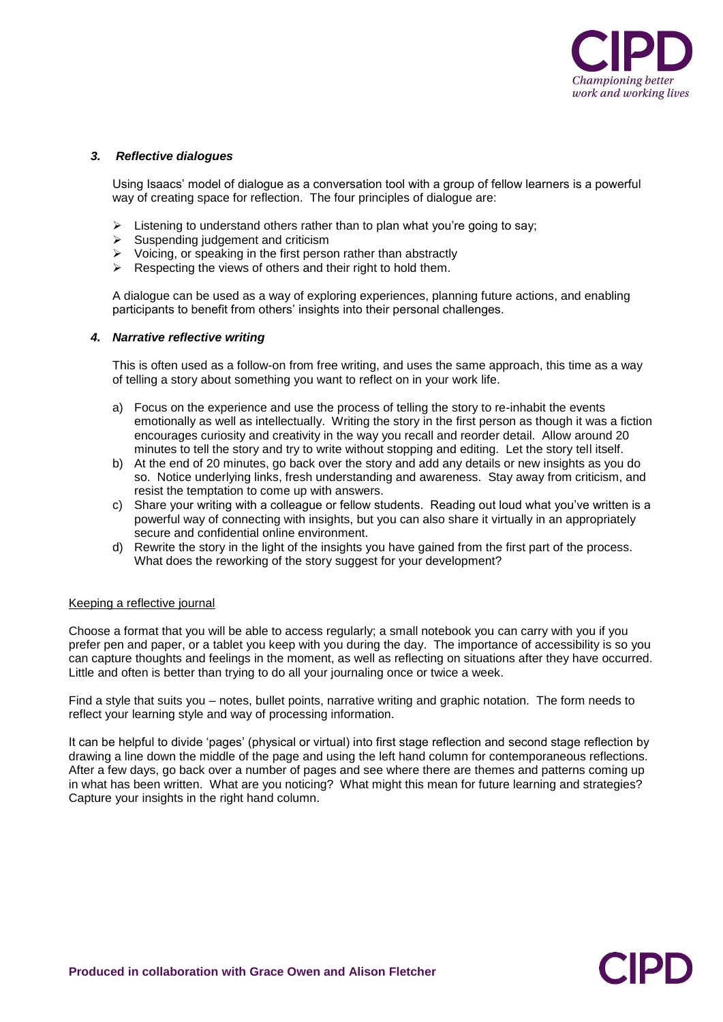

CIPI

## *3. Reflective dialogues*

Using Isaacs' model of dialogue as a conversation tool with a group of fellow learners is a powerful way of creating space for reflection. The four principles of dialogue are:

- $\triangleright$  Listening to understand others rather than to plan what you're going to say;<br>  $\triangleright$  Suspending iudgement and criticism
- Suspending judgement and criticism
- $\triangleright$  Voicing, or speaking in the first person rather than abstractly
- $\triangleright$  Respecting the views of others and their right to hold them.

A dialogue can be used as a way of exploring experiences, planning future actions, and enabling participants to benefit from others' insights into their personal challenges.

## *4. Narrative reflective writing*

This is often used as a follow-on from free writing, and uses the same approach, this time as a way of telling a story about something you want to reflect on in your work life.

- a) Focus on the experience and use the process of telling the story to re-inhabit the events emotionally as well as intellectually. Writing the story in the first person as though it was a fiction encourages curiosity and creativity in the way you recall and reorder detail. Allow around 20 minutes to tell the story and try to write without stopping and editing. Let the story tell itself.
- b) At the end of 20 minutes, go back over the story and add any details or new insights as you do so. Notice underlying links, fresh understanding and awareness. Stay away from criticism, and resist the temptation to come up with answers.
- c) Share your writing with a colleague or fellow students. Reading out loud what you've written is a powerful way of connecting with insights, but you can also share it virtually in an appropriately secure and confidential online environment.
- d) Rewrite the story in the light of the insights you have gained from the first part of the process. What does the reworking of the story suggest for your development?

## Keeping a reflective journal

Choose a format that you will be able to access regularly; a small notebook you can carry with you if you prefer pen and paper, or a tablet you keep with you during the day. The importance of accessibility is so you can capture thoughts and feelings in the moment, as well as reflecting on situations after they have occurred. Little and often is better than trying to do all your journaling once or twice a week.

Find a style that suits you – notes, bullet points, narrative writing and graphic notation. The form needs to reflect your learning style and way of processing information.

It can be helpful to divide 'pages' (physical or virtual) into first stage reflection and second stage reflection by drawing a line down the middle of the page and using the left hand column for contemporaneous reflections. After a few days, go back over a number of pages and see where there are themes and patterns coming up in what has been written. What are you noticing? What might this mean for future learning and strategies? Capture your insights in the right hand column.